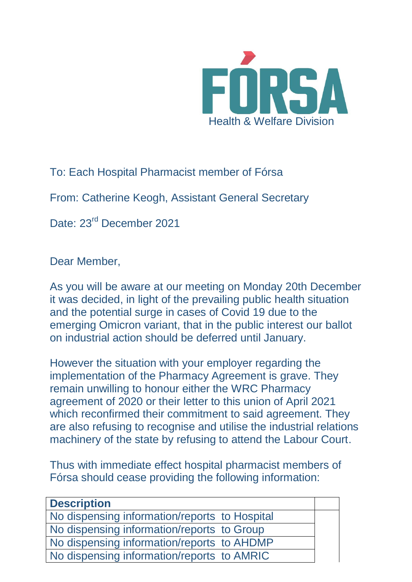

To: Each Hospital Pharmacist member of Fórsa

From: Catherine Keogh, Assistant General Secretary

Date: 23<sup>rd</sup> December 2021

Dear Member,

As you will be aware at our meeting on Monday 20th December it was decided, in light of the prevailing public health situation and the potential surge in cases of Covid 19 due to the emerging Omicron variant, that in the public interest our ballot on industrial action should be deferred until January.

However the situation with your employer regarding the implementation of the Pharmacy Agreement is grave. They remain unwilling to honour either the WRC Pharmacy agreement of 2020 or their letter to this union of April 2021 which reconfirmed their commitment to said agreement. They are also refusing to recognise and utilise the industrial relations machinery of the state by refusing to attend the Labour Court.

Thus with immediate effect hospital pharmacist members of Fórsa should cease providing the following information:

| <b>Description</b>                            |  |
|-----------------------------------------------|--|
| No dispensing information/reports to Hospital |  |
| No dispensing information/reports to Group    |  |
| No dispensing information/reports to AHDMP    |  |
| No dispensing information/reports to AMRIC    |  |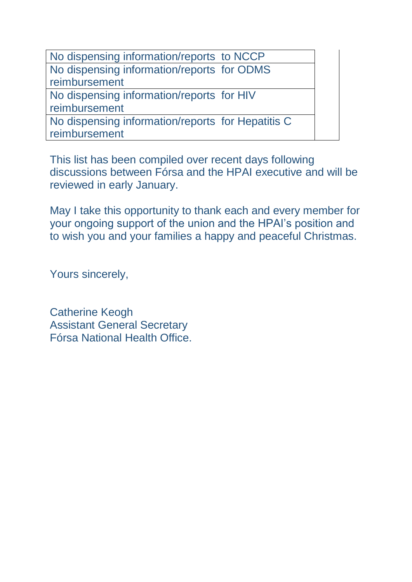No dispensing information/reports to NCCP No dispensing information/reports for ODMS reimbursement No dispensing information/reports for HIV reimbursement No dispensing information/reports for Hepatitis C reimbursement

This list has been compiled over recent days following discussions between Fórsa and the HPAI executive and will be reviewed in early January.

May I take this opportunity to thank each and every member for your ongoing support of the union and the HPAI's position and to wish you and your families a happy and peaceful Christmas.

Yours sincerely,

Catherine Keogh Assistant General Secretary Fórsa National Health Office.